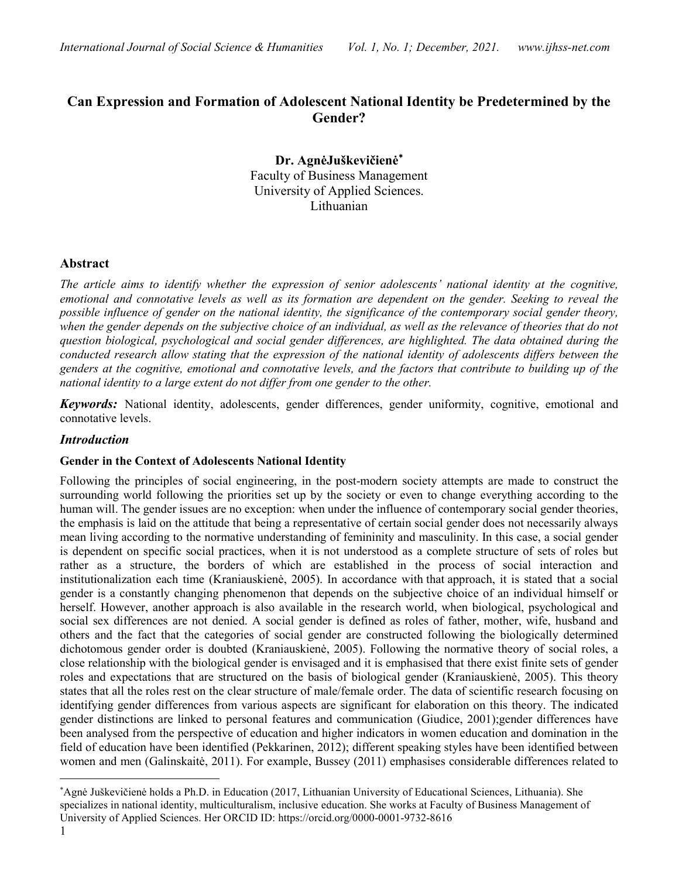## Can Expression and Formation of Adolescent National Identity be Predetermined by the Gender?

Dr. AgnėJuškevičienė Faculty of Business Management University of Applied Sciences. Lithuanian

### Abstract

The article aims to identify whether the expression of senior adolescents' national identity at the cognitive, emotional and connotative levels as well as its formation are dependent on the gender. Seeking to reveal the possible influence of gender on the national identity, the significance of the contemporary social gender theory, when the gender depends on the subjective choice of an individual, as well as the relevance of theories that do not question biological, psychological and social gender differences, are highlighted. The data obtained during the conducted research allow stating that the expression of the national identity of adolescents differs between the genders at the cognitive, emotional and connotative levels, and the factors that contribute to building up of the national identity to a large extent do not differ from one gender to the other.

Keywords: National identity, adolescents, gender differences, gender uniformity, cognitive, emotional and connotative levels.

#### Introduction

#### Gender in the Context of Adolescents National Identity

Following the principles of social engineering, in the post-modern society attempts are made to construct the surrounding world following the priorities set up by the society or even to change everything according to the human will. The gender issues are no exception: when under the influence of contemporary social gender theories, the emphasis is laid on the attitude that being a representative of certain social gender does not necessarily always mean living according to the normative understanding of femininity and masculinity. In this case, a social gender is dependent on specific social practices, when it is not understood as a complete structure of sets of roles but rather as a structure, the borders of which are established in the process of social interaction and institutionalization each time (Kraniauskienė, 2005). In accordance with that approach, it is stated that a social gender is a constantly changing phenomenon that depends on the subjective choice of an individual himself or herself. However, another approach is also available in the research world, when biological, psychological and social sex differences are not denied. A social gender is defined as roles of father, mother, wife, husband and others and the fact that the categories of social gender are constructed following the biologically determined dichotomous gender order is doubted (Kraniauskienė, 2005). Following the normative theory of social roles, a close relationship with the biological gender is envisaged and it is emphasised that there exist finite sets of gender roles and expectations that are structured on the basis of biological gender (Kraniauskienė, 2005). This theory states that all the roles rest on the clear structure of male/female order. The data of scientific research focusing on identifying gender differences from various aspects are significant for elaboration on this theory. The indicated gender distinctions are linked to personal features and communication (Giudice, 2001);gender differences have been analysed from the perspective of education and higher indicators in women education and domination in the field of education have been identified (Pekkarinen, 2012); different speaking styles have been identified between women and men (Galinskaitė, 2011). For example, Bussey (2011) emphasises considerable differences related to

<sup>\*</sup>Agnė Juškevičienė holds a Ph.D. in Education (2017, Lithuanian University of Educational Sciences, Lithuania). She specializes in national identity, multiculturalism, inclusive education. She works at Faculty of Business Management of University of Applied Sciences. Her ORCID ID: https://orcid.org/0000-0001-9732-8616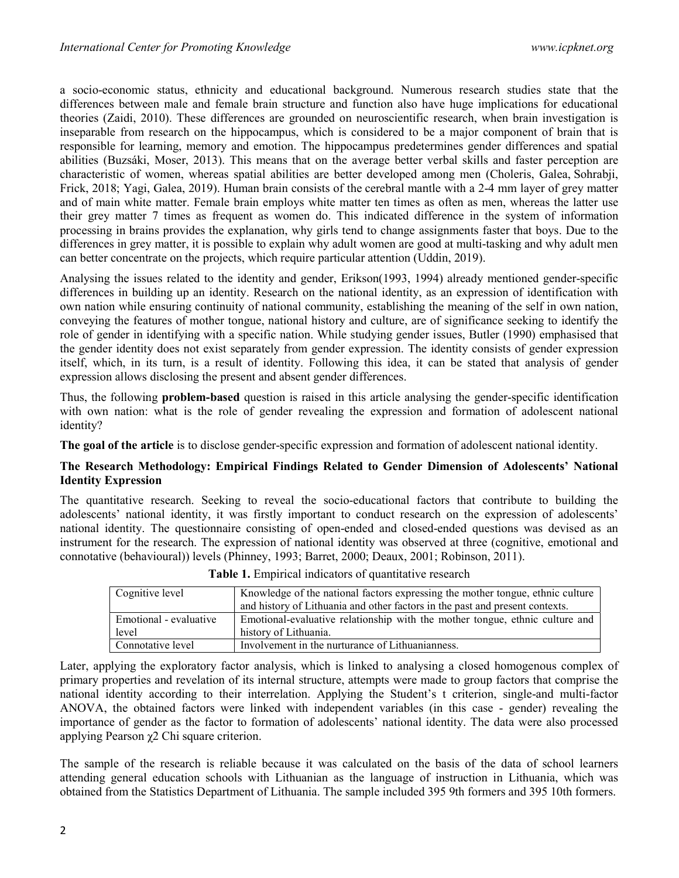a socio-economic status, ethnicity and educational background. Numerous research studies state that the differences between male and female brain structure and function also have huge implications for educational theories (Zaidi, 2010). These differences are grounded on neuroscientific research, when brain investigation is inseparable from research on the hippocampus, which is considered to be a major component of brain that is responsible for learning, memory and emotion. The hippocampus predetermines gender differences and spatial abilities (Buzsáki, Moser, 2013). This means that on the average better verbal skills and faster perception are characteristic of women, whereas spatial abilities are better developed among men (Choleris, Galea, Sohrabji, Frick, 2018; Yagi, Galea, 2019). Human brain consists of the cerebral mantle with a 2-4 mm layer of grey matter and of main white matter. Female brain employs white matter ten times as often as men, whereas the latter use their grey matter 7 times as frequent as women do. This indicated difference in the system of information processing in brains provides the explanation, why girls tend to change assignments faster that boys. Due to the differences in grey matter, it is possible to explain why adult women are good at multi-tasking and why adult men can better concentrate on the projects, which require particular attention (Uddin, 2019).

Analysing the issues related to the identity and gender, Erikson(1993, 1994) already mentioned gender-specific differences in building up an identity. Research on the national identity, as an expression of identification with own nation while ensuring continuity of national community, establishing the meaning of the self in own nation, conveying the features of mother tongue, national history and culture, are of significance seeking to identify the role of gender in identifying with a specific nation. While studying gender issues, Butler (1990) emphasised that the gender identity does not exist separately from gender expression. The identity consists of gender expression itself, which, in its turn, is a result of identity. Following this idea, it can be stated that analysis of gender expression allows disclosing the present and absent gender differences.

Thus, the following problem-based question is raised in this article analysing the gender-specific identification with own nation: what is the role of gender revealing the expression and formation of adolescent national identity?

The goal of the article is to disclose gender-specific expression and formation of adolescent national identity.

### The Research Methodology: Empirical Findings Related to Gender Dimension of Adolescents' National Identity Expression

The quantitative research. Seeking to reveal the socio-educational factors that contribute to building the adolescents' national identity, it was firstly important to conduct research on the expression of adolescents' national identity. The questionnaire consisting of open-ended and closed-ended questions was devised as an instrument for the research. The expression of national identity was observed at three (cognitive, emotional and connotative (behavioural)) levels (Phinney, 1993; Barret, 2000; Deaux, 2001; Robinson, 2011).

| Cognitive level        | Knowledge of the national factors expressing the mother tongue, ethnic culture |  |  |
|------------------------|--------------------------------------------------------------------------------|--|--|
|                        | and history of Lithuania and other factors in the past and present contexts.   |  |  |
| Emotional - evaluative | Emotional-evaluative relationship with the mother tongue, ethnic culture and   |  |  |
| level                  | history of Lithuania.                                                          |  |  |
| Connotative level      | Involvement in the nurturance of Lithuanianness.                               |  |  |

Later, applying the exploratory factor analysis, which is linked to analysing a closed homogenous complex of primary properties and revelation of its internal structure, attempts were made to group factors that comprise the national identity according to their interrelation. Applying the Student's t criterion, single-and multi-factor ANOVA, the obtained factors were linked with independent variables (in this case - gender) revealing the importance of gender as the factor to formation of adolescents' national identity. The data were also processed applying Pearson χ2 Chi square criterion.

The sample of the research is reliable because it was calculated on the basis of the data of school learners attending general education schools with Lithuanian as the language of instruction in Lithuania, which was obtained from the Statistics Department of Lithuania. The sample included 395 9th formers and 395 10th formers.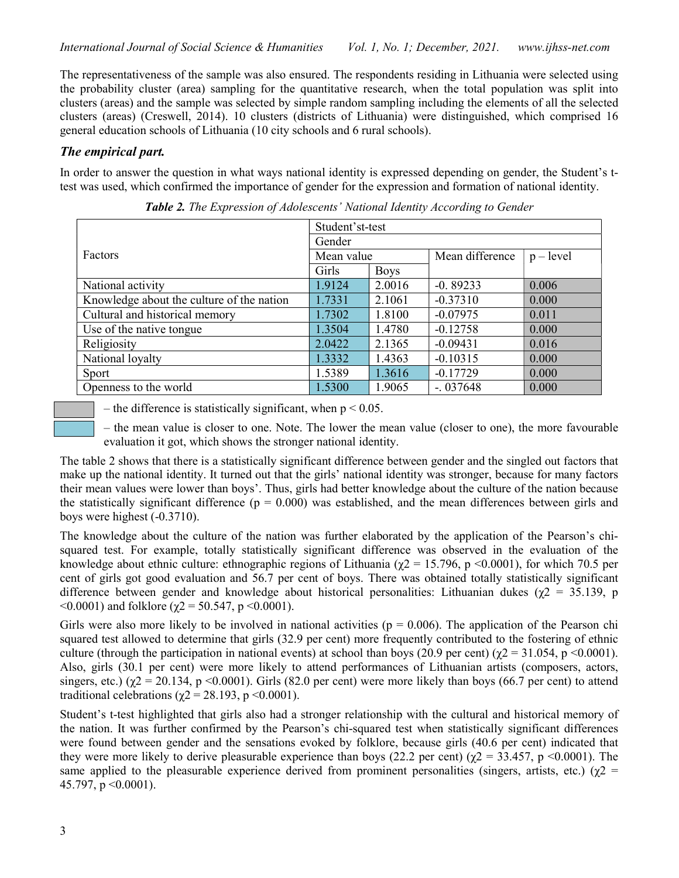The representativeness of the sample was also ensured. The respondents residing in Lithuania were selected using the probability cluster (area) sampling for the quantitative research, when the total population was split into clusters (areas) and the sample was selected by simple random sampling including the elements of all the selected clusters (areas) (Creswell, 2014). 10 clusters (districts of Lithuania) were distinguished, which comprised 16 general education schools of Lithuania (10 city schools and 6 rural schools).

## The empirical part.

In order to answer the question in what ways national identity is expressed depending on gender, the Student's ttest was used, which confirmed the importance of gender for the expression and formation of national identity.

| Student'st-test                           |            |             |                 |             |  |  |
|-------------------------------------------|------------|-------------|-----------------|-------------|--|--|
|                                           | Gender     |             |                 |             |  |  |
| Factors                                   | Mean value |             | Mean difference | $p - level$ |  |  |
|                                           | Girls      | <b>Boys</b> |                 |             |  |  |
| National activity                         | 1.9124     | 2.0016      | $-0.89233$      | 0.006       |  |  |
| Knowledge about the culture of the nation | 1.7331     | 2.1061      | $-0.37310$      | 0.000       |  |  |
| Cultural and historical memory            | 1.7302     | 1.8100      | $-0.07975$      | 0.011       |  |  |
| Use of the native tongue                  | 1.3504     | 1.4780      | $-0.12758$      | 0.000       |  |  |
| Religiosity                               | 2.0422     | 2.1365      | $-0.09431$      | 0.016       |  |  |
| National loyalty                          | 1.3332     | 1.4363      | $-0.10315$      | 0.000       |  |  |
| Sport                                     | 1.5389     | 1.3616      | $-0.17729$      | 0.000       |  |  |
| Openness to the world                     | 1.5300     | 1.9065      | $-0.037648$     | 0.000       |  |  |

Table 2. The Expression of Adolescents' National Identity According to Gender

– the difference is statistically significant, when  $p < 0.05$ .

‒ the mean value is closer to one. Note. The lower the mean value (closer to one), the more favourable evaluation it got, which shows the stronger national identity.

The table 2 shows that there is a statistically significant difference between gender and the singled out factors that make up the national identity. It turned out that the girls' national identity was stronger, because for many factors their mean values were lower than boys'. Thus, girls had better knowledge about the culture of the nation because the statistically significant difference ( $p = 0.000$ ) was established, and the mean differences between girls and boys were highest (-0.3710).

The knowledge about the culture of the nation was further elaborated by the application of the Pearson's chisquared test. For example, totally statistically significant difference was observed in the evaluation of the knowledge about ethnic culture: ethnographic regions of Lithuania ( $\gamma$ 2 = 15.796, p <0.0001), for which 70.5 per cent of girls got good evaluation and 56.7 per cent of boys. There was obtained totally statistically significant difference between gender and knowledge about historical personalities: Lithuanian dukes ( $\gamma$ 2 = 35.139, p  $\leq 0.0001$ ) and folklore ( $\gamma$ 2 = 50.547, p $\leq 0.0001$ ).

Girls were also more likely to be involved in national activities ( $p = 0.006$ ). The application of the Pearson chi squared test allowed to determine that girls (32.9 per cent) more frequently contributed to the fostering of ethnic culture (through the participation in national events) at school than boys (20.9 per cent) ( $\chi$ 2 = 31.054, p <0.0001). Also, girls (30.1 per cent) were more likely to attend performances of Lithuanian artists (composers, actors, singers, etc.) ( $\chi$ 2 = 20.134, p <0.0001). Girls (82.0 per cent) were more likely than boys (66.7 per cent) to attend traditional celebrations ( $\chi$ 2 = 28.193, p <0.0001).

Student's t-test highlighted that girls also had a stronger relationship with the cultural and historical memory of the nation. It was further confirmed by the Pearson's chi-squared test when statistically significant differences were found between gender and the sensations evoked by folklore, because girls (40.6 per cent) indicated that they were more likely to derive pleasurable experience than boys (22.2 per cent) ( $\gamma$ 2 = 33.457, p <0.0001). The same applied to the pleasurable experience derived from prominent personalities (singers, artists, etc.) ( $\chi$ 2 = 45.797,  $p \le 0.0001$ ).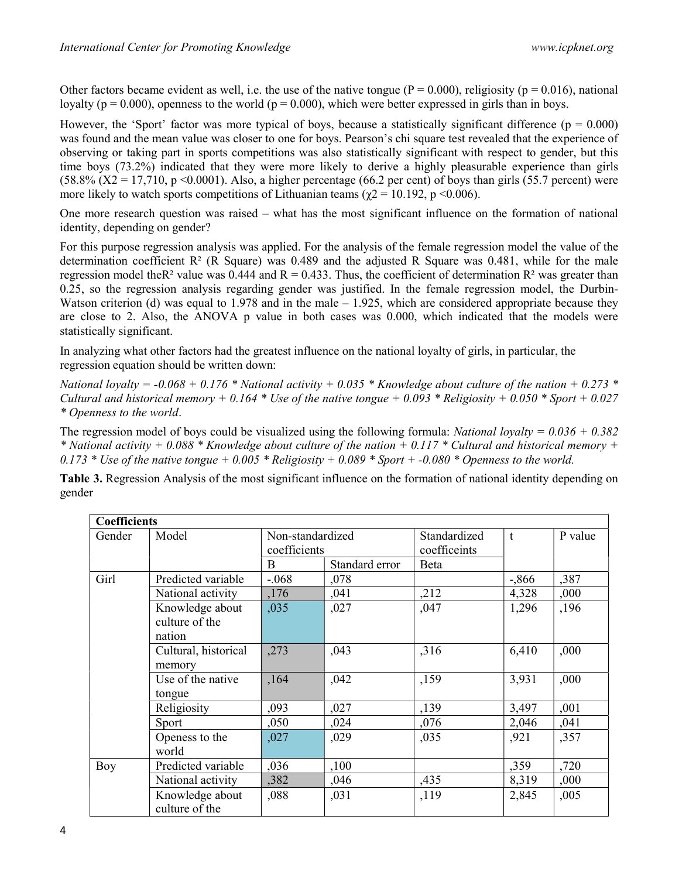Other factors became evident as well, i.e. the use of the native tongue ( $P = 0.000$ ), religiosity ( $p = 0.016$ ), national loyalty ( $p = 0.000$ ), openness to the world ( $p = 0.000$ ), which were better expressed in girls than in boys.

However, the 'Sport' factor was more typical of boys, because a statistically significant difference ( $p = 0.000$ ) was found and the mean value was closer to one for boys. Pearson's chi square test revealed that the experience of observing or taking part in sports competitions was also statistically significant with respect to gender, but this time boys (73.2%) indicated that they were more likely to derive a highly pleasurable experience than girls (58.8% ( $X2 = 17,710$ , p <0.0001). Also, a higher percentage (66.2 per cent) of boys than girls (55.7 percent) were more likely to watch sports competitions of Lithuanian teams ( $\chi$ 2 = 10.192, p <0.006).

One more research question was raised – what has the most significant influence on the formation of national identity, depending on gender?

For this purpose regression analysis was applied. For the analysis of the female regression model the value of the determination coefficient  $\mathbb{R}^2$  (R Square) was 0.489 and the adjusted R Square was 0.481, while for the male regression model the R<sup>2</sup> value was 0.444 and R = 0.433. Thus, the coefficient of determination R<sup>2</sup> was greater than 0.25, so the regression analysis regarding gender was justified. In the female regression model, the Durbin-Watson criterion (d) was equal to 1.978 and in the male – 1.925, which are considered appropriate because they are close to 2. Also, the ANOVA p value in both cases was 0.000, which indicated that the models were statistically significant.

In analyzing what other factors had the greatest influence on the national loyalty of girls, in particular, the regression equation should be written down:

National loyalty = -0.068 + 0.176 \* National activity + 0.035 \* Knowledge about culture of the nation + 0.273 \* Cultural and historical memory + 0.164  $*$  Use of the native tongue + 0.093  $*$  Religiosity + 0.050  $*$  Sport + 0.027 \* Openness to the world.

The regression model of boys could be visualized using the following formula: National loyalty =  $0.036 + 0.382$ \* National activity + 0.088 \* Knowledge about culture of the nation + 0.117 \* Cultural and historical memory + 0.173  $*$  Use of the native tongue  $+$  0.005  $*$  Religiosity  $+$  0.089  $*$  Sport  $+$  -0.080  $*$  Openness to the world.

Table 3. Regression Analysis of the most significant influence on the formation of national identity depending on gender

| <b>Coefficients</b> |                                             |                                  |                |                                            |          |         |  |
|---------------------|---------------------------------------------|----------------------------------|----------------|--------------------------------------------|----------|---------|--|
| Gender              | Model                                       | Non-standardized<br>coefficients |                | Standardized<br>$\ddagger$<br>coefficeints |          | P value |  |
|                     |                                             | B                                | Standard error | Beta                                       |          |         |  |
| Girl                | Predicted variable                          | $-.068$                          | ,078           |                                            | $-0.866$ | ,387    |  |
|                     | National activity                           | ,176                             | ,041           | ,212                                       | 4,328    | ,000    |  |
|                     | Knowledge about<br>culture of the<br>nation | ,035                             | ,027           | ,047                                       | 1,296    | ,196    |  |
|                     | Cultural, historical<br>memory              | ,273                             | ,043           | ,316                                       | 6,410    | ,000    |  |
|                     | Use of the native<br>tongue                 | ,164                             | ,042           | ,159                                       | 3,931    | ,000    |  |
|                     | Religiosity                                 | ,093                             | ,027           | ,139                                       | 3,497    | ,001    |  |
|                     | Sport                                       | ,050                             | ,024           | ,076                                       | 2,046    | ,041    |  |
|                     | Openess to the<br>world                     | ,027                             | ,029           | ,035                                       | ,921     | ,357    |  |
| Boy                 | Predicted variable                          | ,036                             | ,100           |                                            | ,359     | ,720    |  |
|                     | National activity                           | ,382                             | ,046           | ,435                                       | 8,319    | ,000    |  |
|                     | Knowledge about<br>culture of the           | ,088                             | ,031           | ,119                                       | 2,845    | ,005    |  |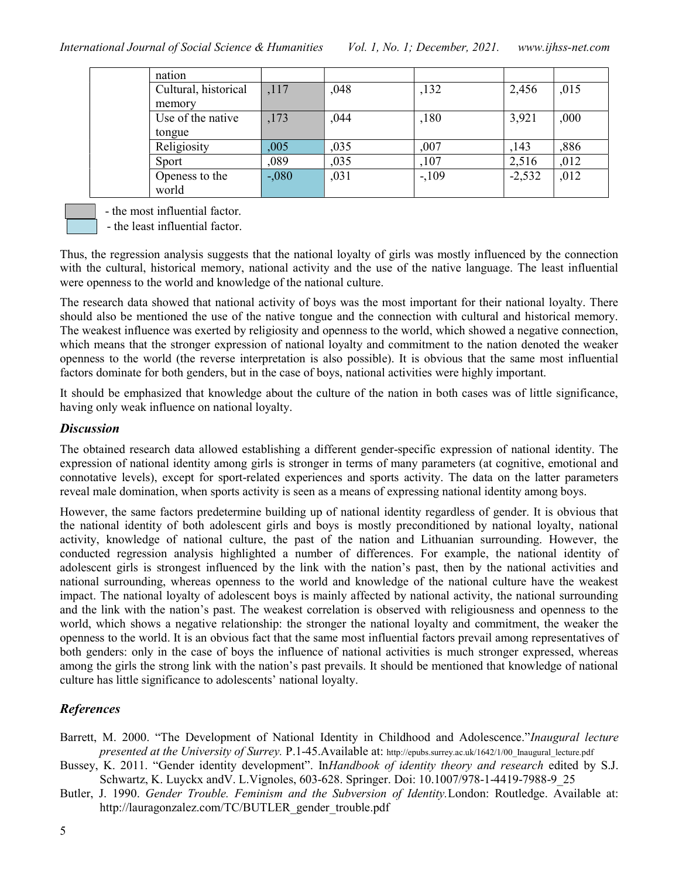| nation               |         |      |        |          |      |
|----------------------|---------|------|--------|----------|------|
| Cultural, historical | ,117    | ,048 | ,132   | 2,456    | ,015 |
| memory               |         |      |        |          |      |
| Use of the native    | ,173    | ,044 | ,180   | 3,921    | ,000 |
| tongue               |         |      |        |          |      |
| Religiosity          | ,005    | ,035 | ,007   | ,143     | ,886 |
| Sport                | ,089    | ,035 | ,107   | 2,516    | ,012 |
| Openess to the       | $-.080$ | ,031 | $-109$ | $-2,532$ | ,012 |
| world                |         |      |        |          |      |

- the most influential factor.

- the least influential factor.

Thus, the regression analysis suggests that the national loyalty of girls was mostly influenced by the connection with the cultural, historical memory, national activity and the use of the native language. The least influential were openness to the world and knowledge of the national culture.

The research data showed that national activity of boys was the most important for their national loyalty. There should also be mentioned the use of the native tongue and the connection with cultural and historical memory. The weakest influence was exerted by religiosity and openness to the world, which showed a negative connection, which means that the stronger expression of national loyalty and commitment to the nation denoted the weaker openness to the world (the reverse interpretation is also possible). It is obvious that the same most influential factors dominate for both genders, but in the case of boys, national activities were highly important.

It should be emphasized that knowledge about the culture of the nation in both cases was of little significance, having only weak influence on national loyalty.

### **Discussion**

The obtained research data allowed establishing a different gender-specific expression of national identity. The expression of national identity among girls is stronger in terms of many parameters (at cognitive, emotional and connotative levels), except for sport-related experiences and sports activity. The data on the latter parameters reveal male domination, when sports activity is seen as a means of expressing national identity among boys.

However, the same factors predetermine building up of national identity regardless of gender. It is obvious that the national identity of both adolescent girls and boys is mostly preconditioned by national loyalty, national activity, knowledge of national culture, the past of the nation and Lithuanian surrounding. However, the conducted regression analysis highlighted a number of differences. For example, the national identity of adolescent girls is strongest influenced by the link with the nation's past, then by the national activities and national surrounding, whereas openness to the world and knowledge of the national culture have the weakest impact. The national loyalty of adolescent boys is mainly affected by national activity, the national surrounding and the link with the nation's past. The weakest correlation is observed with religiousness and openness to the world, which shows a negative relationship: the stronger the national loyalty and commitment, the weaker the openness to the world. It is an obvious fact that the same most influential factors prevail among representatives of both genders: only in the case of boys the influence of national activities is much stronger expressed, whereas among the girls the strong link with the nation's past prevails. It should be mentioned that knowledge of national culture has little significance to adolescents' national loyalty.

# References

- Barrett, M. 2000. "The Development of National Identity in Childhood and Adolescence."Inaugural lecture presented at the University of Surrey. P.1-45. Available at: http://epubs.surrey.ac.uk/1642/1/00\_Inaugural\_lecture.pdf
- Bussey, K. 2011. "Gender identity development". InHandbook of identity theory and research edited by S.J. Schwartz, K. Luyckx andV. L.Vignoles, 603-628. Springer. Doi: 10.1007/978-1-4419-7988-9\_25
- Butler, J. 1990. Gender Trouble. Feminism and the Subversion of Identity.London: Routledge. Available at: http://lauragonzalez.com/TC/BUTLER\_gender\_trouble.pdf